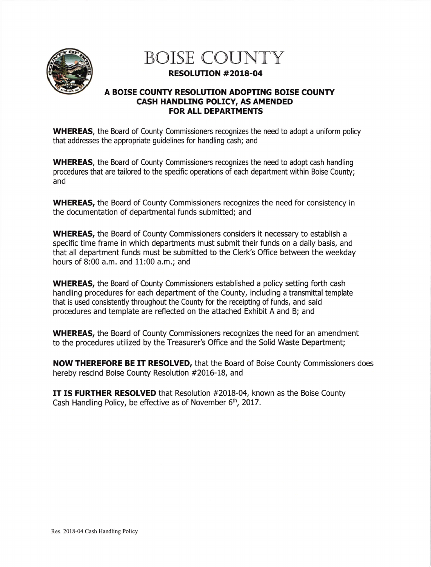

BOISE COUNTY

## RESOLUTTON #2018-04

## A BOISE COUNTY RESOLUTION ADOPTING BOISE COUNTY **CASH HANDLING POLICY, AS AMENDED** FOR ALL DEPARTMENTS

WHEREAS, the Board of County Commissioners recognizes the need to adopt a uniform policy that addresses the appropriate guidelines for handling cash; and

WHEREAS, the Board of County Commissioners recognizes the need to adopt cash handling procedures that are tailored to the specific operations of each department within Boise County; and

WHEREAS, the Board of County Commissioners recognizes the need for consistency in the documentation of departmental funds submitted; and

WHEREAS, the Board of County Commissioners considers it necessary to establish a specific time frame in which departments must submit their funds on a daily basis, and that all department funds must be submitted to the Clerk's Office between the weekday hours of 8:00 a.m. and 11:00 a.m.; and

WHEREAS, the Board of County Commissioners established a policy setting fofth cash handling procedures for each department of the County, including a transmittal template that is used consistently throughout the County for the receipting of funds, and said procedures and template are reflected on the attached Exhibit A and B; and

WHEREAS, the Board of County Commissioners recognizes the need for an amendment to the procedures utilized by the Treasurer's Office and the Solid Waste Depaftment;

NOW THEREFORE BE IT RESOLVED, that the Board of Boise County Commissioners does hereby rescind Boise County Resolution #2016-18, and

IT IS FURTHER RESOLVED that Resolution #2018-04, known as the Boise County Cash Handling Policy, be effective as of November 6<sup>th</sup>, 2017.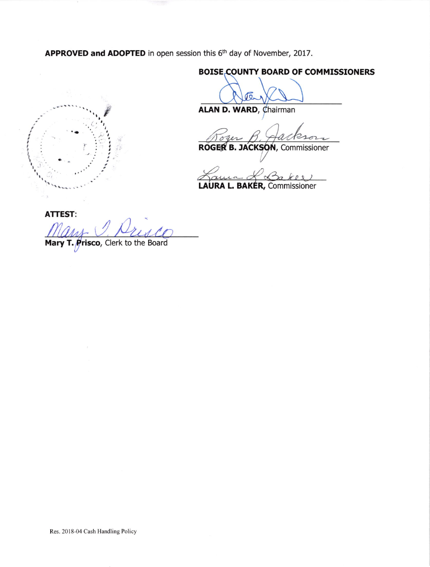APPROVED and ADOPTED in open session this 6<sup>th</sup> day of November, 2017.



BOISE COUNTY BOARD OF COMMISSIONERS

đσ.

ALAN D. WARD, Chairman

B. JACKSON, Commissioner

LAURA L. BAKÉR, Commissioner

ATTEST: Mary O. Prisco

Mary T. Prisco, Clerk to the Board